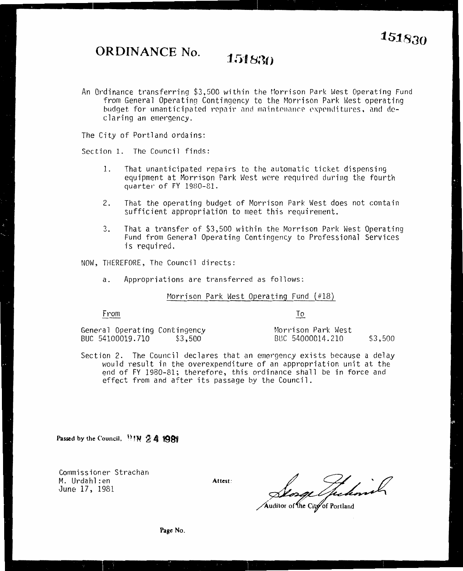**ORDINANCE No. 151830** 

An Ordinance transferring \$3,500 within the Morrison Park West Operating Fund from General Operating Contingency to the Morrison Park West operating budget for unanticipated repair and maintenance expenditures, and de<sup>c</sup>la ring an emergency.

The City of Portland ordains:

Section 1. The Council finds:

- 1. That unanticipated repairs to the automatic ticket dispensing equipment at Morrison Park West were required during the fourth quarter of FY 1980-81.
- 2. That the operating budget of Morrison Park West does not contain sufficient appropriation to meet this requirement.
- 3. That a transfer of \$3,500 within the Morrison Park West Operating Fund from General Operating Contingency to Professional Services is required.

NOW, THEREFORE, The Council directs:

a. Appropriations are transferred as follows:

## Morrison Park West Operating Fund  $#18$

From

To

General Operating Contingency Morrison Park West BUC 54100019.710 \$3,500 BUC 54000014.210 \$3,500

Section 2. The Council declares that an emergency exists because a delay would result in the overexpenditure of an appropriation unit at the end of FY 1980-81; therefore, this ordinance shall be in force and effect from and after its passage *by* the Council.

Passed by the Council,  $^{11}$  **1N**  $\mathbb{2}$  **4**  $\mathbb{1981}$ 

Commissioner Strachan M. Urdahl :en June 17, 1981

**Attest:** 

Thehorich

Auditor of the City of Portland